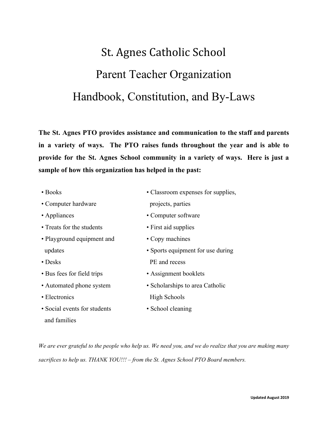# St. Agnes Catholic School Parent Teacher Organization Handbook, Constitution, and By-Laws

**The St. Agnes PTO provides assistance and communication to the staff and parents in a variety of ways. The PTO raises funds throughout the year and is able to provide for the St. Agnes School community in a variety of ways. Here is just a sample of how this organization has helped in the past:**

| $\bullet$ Books              | • Classroom expenses for supplies, |
|------------------------------|------------------------------------|
| • Computer hardware          | projects, parties                  |
| • Appliances                 | • Computer software                |
| • Treats for the students    | • First aid supplies               |
| • Playground equipment and   | • Copy machines                    |
| updates                      | • Sports equipment for use during  |
| $\bullet$ Desks              | PE and recess                      |
| • Bus fees for field trips   | • Assignment booklets              |
| • Automated phone system     | • Scholarships to area Catholic    |
| • Electronics                | <b>High Schools</b>                |
| • Social events for students | • School cleaning                  |
| and families                 |                                    |

We are ever grateful to the people who help us. We need you, and we do realize that you are making many *sacrifices to help us. THANK YOU!!! – from the St. Agnes School PTO Board members.*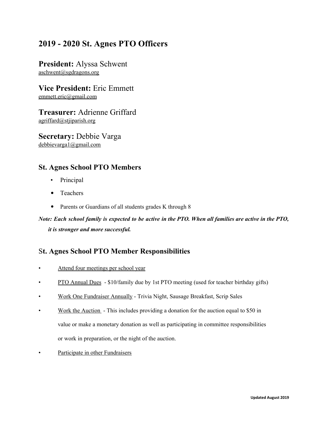# **2019 - 2020 St. Agnes PTO Officers**

**President:** Alyssa Schwent aschwent@sgdragons.org

**Vice President:** Eric Emmett emmett.eric@gmail.com

**Treasurer:** Adrienne Griffard agriffard@stjiparish.org

**Secretary:** Debbie Varga debbievarga1@gmail.com

## **St. Agnes School PTO Members**

- Principal
- **•** Teachers
- **•** Parents or Guardians of all students grades K through 8

Note: Each school family is expected to be active in the PTO. When all families are active in the PTO, *it is stronger and more successful.*

## S**t. Agnes School PTO Member Responsibilities**

- Attend four meetings per school year
- PTO Annual Dues \$10/family due by 1st PTO meeting (used for teacher birthday gifts)
- Work One Fundraiser Annually Trivia Night, Sausage Breakfast, Scrip Sales
- Work the Auction This includes providing a donation for the auction equal to \$50 in value or make a monetary donation as well as participating in committee responsibilities or work in preparation, or the night of the auction.
- Participate in other Fundraisers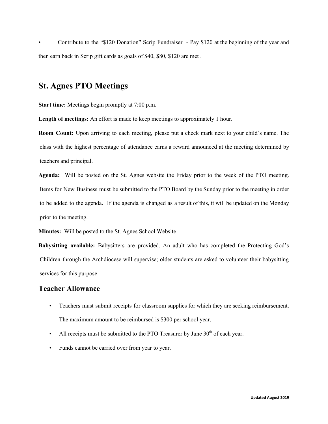• Contribute to the "\$120 Donation" Scrip Fundraiser - Pay \$120 at the beginning of the year and then earn back in Scrip gift cards as goals of \$40, \$80, \$120 are met .

## **St. Agnes PTO Meetings**

**Start time:** Meetings begin promptly at 7:00 p.m.

**Length of meetings:** An effort is made to keep meetings to approximately 1 hour.

**Room Count:** Upon arriving to each meeting, please put a check mark next to your child's name. The class with the highest percentage of attendance earns a reward announced at the meeting determined by teachers and principal.

**Agenda:** Will be posted on the St. Agnes website the Friday prior to the week of the PTO meeting. Items for New Business must be submitted to the PTO Board by the Sunday prior to the meeting in order to be added to the agenda. If the agenda is changed as a result of this, it will be updated on the Monday prior to the meeting.

**Minutes:** Will be posted to the St. Agnes School Website

**Babysitting available:** Babysitters are provided. An adult who has completed the Protecting God's Children through the Archdiocese will supervise; older students are asked to volunteer their babysitting services for this purpose

### **Teacher Allowance**

- Teachers must submit receipts for classroom supplies for which they are seeking reimbursement. The maximum amount to be reimbursed is \$300 per school year.
- All receipts must be submitted to the PTO Treasurer by June  $30<sup>th</sup>$  of each year.
- Funds cannot be carried over from year to year.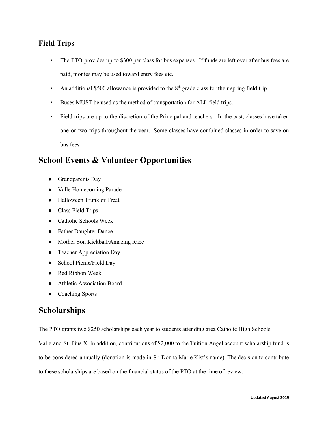## **Field Trips**

- The PTO provides up to \$300 per class for bus expenses. If funds are left over after bus fees are paid, monies may be used toward entry fees etc.
- An additional \$500 allowance is provided to the  $8<sup>th</sup>$  grade class for their spring field trip.
- Buses MUST be used as the method of transportation for ALL field trips.
- Field trips are up to the discretion of the Principal and teachers. In the past, classes have taken one or two trips throughout the year. Some classes have combined classes in order to save on bus fees.

# **School Events & Volunteer Opportunities**

- Grandparents Day
- Valle Homecoming Parade
- Halloween Trunk or Treat
- Class Field Trips
- Catholic Schools Week
- Father Daughter Dance
- Mother Son Kickball/Amazing Race
- Teacher Appreciation Day
- School Picnic/Field Day
- Red Ribbon Week
- Athletic Association Board
- Coaching Sports

## **Scholarships**

The PTO grants two \$250 scholarships each year to students attending area Catholic High Schools,

Valle and St. Pius X. In addition, contributions of \$2,000 to the Tuition Angel account scholarship fund is

to be considered annually (donation is made in Sr. Donna Marie Kist's name). The decision to contribute

to these scholarships are based on the financial status of the PTO at the time of review.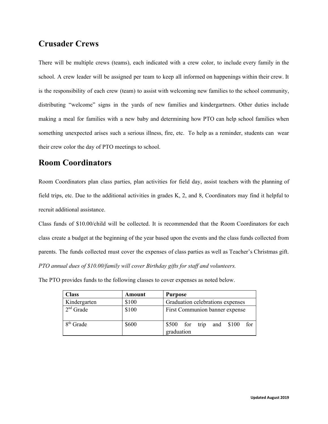# **Crusader Crews**

There will be multiple crews (teams), each indicated with a crew color, to include every family in the school. A crew leader will be assigned per team to keep all informed on happenings within their crew. It is the responsibility of each crew (team) to assist with welcoming new families to the school community, distributing "welcome" signs in the yards of new families and kindergartners. Other duties include making a meal for families with a new baby and determining how PTO can help school families when something unexpected arises such a serious illness, fire, etc. To help as a reminder, students can wear their crew color the day of PTO meetings to school.

# **Room Coordinators**

Room Coordinators plan class parties, plan activities for field day, assist teachers with the planning of field trips, etc. Due to the additional activities in grades K, 2, and 8, Coordinators may find it helpful to recruit additional assistance.

Class funds of \$10.00/child will be collected. It is recommended that the Room Coordinators for each class create a budget at the beginning of the year based upon the events and the class funds collected from parents. The funds collected must cover the expenses of class parties as well as Teacher's Christmas gift. *PTO annual dues of \$10.00/family will cover Birthday gifts for staf and volunteers.*

The PTO provides funds to the following classes to cover expenses as noted below.

| <b>Class</b>          | Amount | <b>Purpose</b>                    |
|-----------------------|--------|-----------------------------------|
| Kindergarten          | \$100  | Graduation celebrations expenses  |
| $2nd$ Grade           | \$100  | First Communion banner expense    |
| 8 <sup>th</sup> Grade | \$600  | $$500$ for trip and $$100$<br>for |
|                       |        | graduation                        |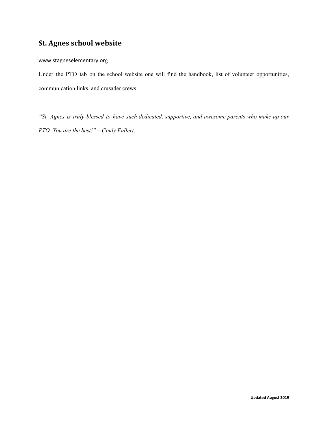## **St. Agnes school website**

#### [www.stagneselementary.or](http://www.stagneselementary.org/)g

Under the PTO tab on the school website one will find the handbook, list of volunteer opportunities, communication links, and crusader crews.

*"St. Agnes is truly blessed to have such dedicated, supportive, and awesome parents who make up our PTO. You are the best!" – Cindy Fallert,*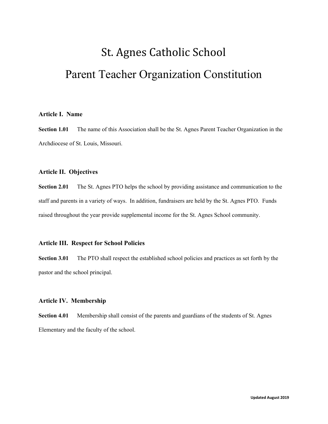# St. Agnes Catholic School Parent Teacher Organization Constitution

#### **Article I. Name**

**Section 1.01** The name of this Association shall be the St. Agnes Parent Teacher Organization in the Archdiocese of St. Louis, Missouri.

#### **Article II. Objectives**

**Section 2.01** The St. Agnes PTO helps the school by providing assistance and communication to the staff and parents in a variety of ways. In addition, fundraisers are held by the St. Agnes PTO. Funds raised throughout the year provide supplemental income for the St. Agnes School community.

#### **Article III. Respect for School Policies**

**Section 3.01** The PTO shall respect the established school policies and practices as set forth by the pastor and the school principal.

#### **Article IV. Membership**

**Section 4.01** Membership shall consist of the parents and guardians of the students of St. Agnes Elementary and the faculty of the school.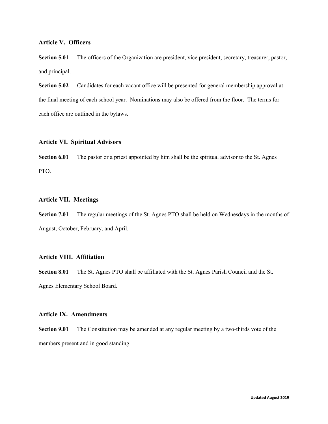#### **Article V. Officers**

**Section <b>5.01** The officers of the Organization are president, vice president, secretary, treasurer, pastor, and principal.

**Section 5.02** Candidates for each vacant office will be presented for general membership approval at the final meeting of each school year. Nominations may also be offered from the floor. The terms for each office are outlined in the bylaws.

#### **Article VI. Spiritual Advisors**

**Section 6.01** The pastor or a priest appointed by him shall be the spiritual advisor to the St. Agnes PTO.

#### **Article VII. Meetings**

**Section 7.01** The regular meetings of the St. Agnes PTO shall be held on Wednesdays in the months of August, October, February, and April.

#### **Article VIII. Affiliation**

**Section 8.01** The St. Agnes PTO shall be affiliated with the St. Agnes Parish Council and the St. Agnes Elementary School Board.

#### **Article IX. Amendments**

**Section 9.01** The Constitution may be amended at any regular meeting by a two-thirds vote of the members present and in good standing.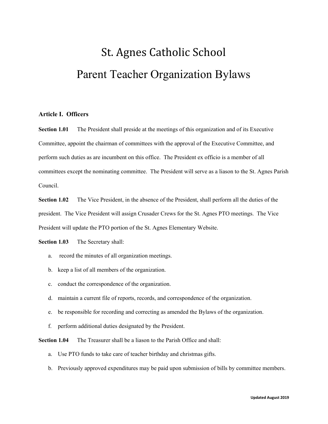# St. Agnes Catholic School Parent Teacher Organization Bylaws

#### **Article I. Officers**

**Section 1.01** The President shall preside at the meetings of this organization and of its Executive Committee, appoint the chairman of committees with the approval of the Executive Committee, and perform such duties as are incumbent on this office. The President ex officio is a member of all committees except the nominating committee. The President will serve as a liason to the St. Agnes Parish Council.

**Section 1.02** The Vice President, in the absence of the President, shall perform all the duties of the president. The Vice President will assign Crusader Crews for the St. Agnes PTO meetings. The Vice President will update the PTO portion of the St. Agnes Elementary Website.

**Section 1.03** The Secretary shall:

- a. record the minutes of all organization meetings.
- b. keep a list of all members of the organization.
- c. conduct the correspondence of the organization.
- d. maintain a current file of reports, records, and correspondence of the organization.
- e. be responsible for recording and correcting as amended the Bylaws of the organization.
- f. perform additional duties designated by the President.

**Section 1.04** The Treasurer shall be a liason to the Parish Office and shall:

- a. Use PTO funds to take care of teacher birthday and christmas gifts.
- b. Previously approved expenditures may be paid upon submission of bills by committee members.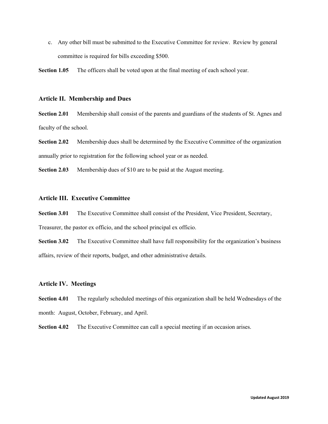c. Any other bill must be submitted to the Executive Committee for review. Review by general committee is required for bills exceeding \$500.

**Section 1.05** The officers shall be voted upon at the final meeting of each school year.

#### **Article II. Membership and Dues**

**Section 2.01** Membership shall consist of the parents and guardians of the students of St. Agnes and faculty of the school.

**Section 2.02** Membership dues shall be determined by the Executive Committee of the organization annually prior to registration for the following school year or as needed.

**Section 2.03** Membership dues of \$10 are to be paid at the August meeting.

#### **Article III. Executive Committee**

**Section 3.01** The Executive Committee shall consist of the President, Vice President, Secretary,

Treasurer, the pastor ex officio, and the school principal ex officio.

**Section 3.02** The Executive Committee shall have full responsibility for the organization's business affairs, review of their reports, budget, and other administrative details.

#### **Article IV. Meetings**

**Section 4.01** The regularly scheduled meetings of this organization shall be held Wednesdays of the month: August, October, February, and April.

**Section 4.02** The Executive Committee can call a special meeting if an occasion arises.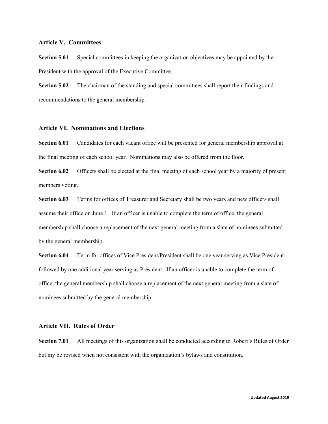#### **Article V. Committees**

**Section 5.01** Special committees in keeping the organization objectives may be appointed by the President with the approval of the Executive Committee.

**Section 5.02** The chairman of the standing and special committees shall report their findings and recommendations to the general membership.

#### **Article VI. Nominations and Elections**

**Section 6.01** Candidates for each vacant office will be presented for general membership approval at the final meeting of each school year. Nominations may also be offered from the floor.

**Section 6.02** Officers shall be elected at the final meeting of each school year by a majority of present members voting.

**Section 6.03** Terms for offices of Treasurer and Secretary shall be two years and new officers shall assume their office on June 1. If an officer is unable to complete the term of office, the general membership shall choose a replacement of the next general meeting from a slate of nominees submitted by the general membership.

**Section 6.04** Term for offices of Vice President/President shall be one year serving as Vice President followed by one additional year serving as President. If an officer is unable to complete the term of office, the general membership shall choose a replacement of the next general meeting from a slate of nominees submitted by the general membership.

#### **Article VII. Rules of Order**

**Section 7.01** All meetings of this organization shall be conducted according to Robert's Rules of Order but my be revised when not consistent with the organization's bylaws and constitution.